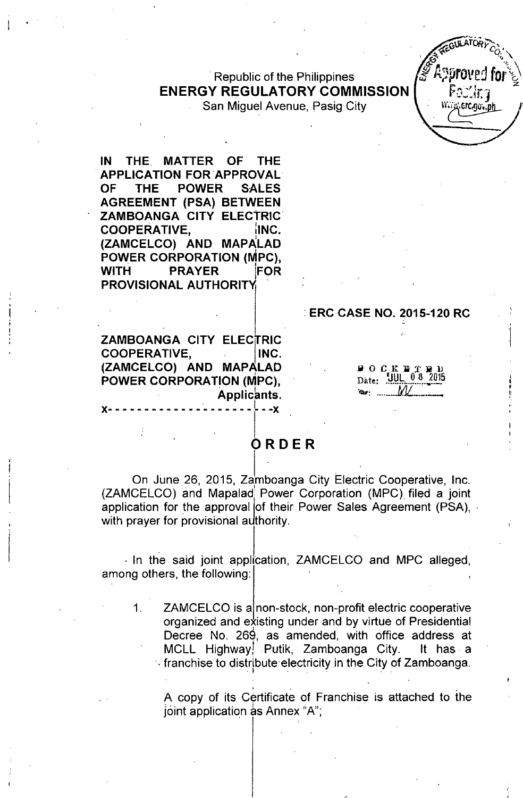# .Republic of the Philippines ENERGY REGULATORY COMMISSION

San Miguel Avenue, Pasig City

IN THE. MATTER OF THE APPLICATION FOR APPROVAL . OF THE POWER SALES AGREEMENT (PSA) BETWEEN ZAMBOANGA CITY ELECTRIC COOPERATIVE, **INC.** (ZAMCELCO) AND MAPALAD POWER CORPORATION (MPC), WITH PRAYER FOR PROVISIONAL AUTHORITY

### •ERC CASE NO. 2015-120 RC

ՐՕՍԱԴ erc.go. .ph

ZAMBOANGA CITY ELECTRIC COOPERATIVE, INC. (ZAMCELCO) AND MAPALAD • POWER CORPORATION (MPC), . I . Applicants. . Print x- - - - - - - - - - - - - - - - - - - - - - -x

#### $\blacksquare$  O C K  $\blacksquare$  1  $\text{Date:}$   $\frac{100}{100}$ ,  $\frac{0.8}{100}$ *'<1>7, •••••••• JIJL.\_.\_\_*

# ORDER

On June 26, 2015, Zamboanga City Electric Cooperative, Inc. . I (ZAMCELCO) and Mapalad Power Corporation (MPC) filed a joint application for the approval of their Power Sales Agreement (PSA),  $\cdot$ with prayer for provisional authority.

. In the said joint application, ZAMCELCO and MPC alleged, among others, the following:

1. ZAMCELCO is a non-stock, non-profit electric cooperative organized and existing under and by virtue of Presidential I Decree No. 269, as amended, with office address at MCLL Highway! Putik, Zamboanga City. It has. a  $\cdot$  franchise to distribute electricity in the City of Zamboanga

, . . A copy of its Certificate of Franchise is attached to the joint application as Annex "A";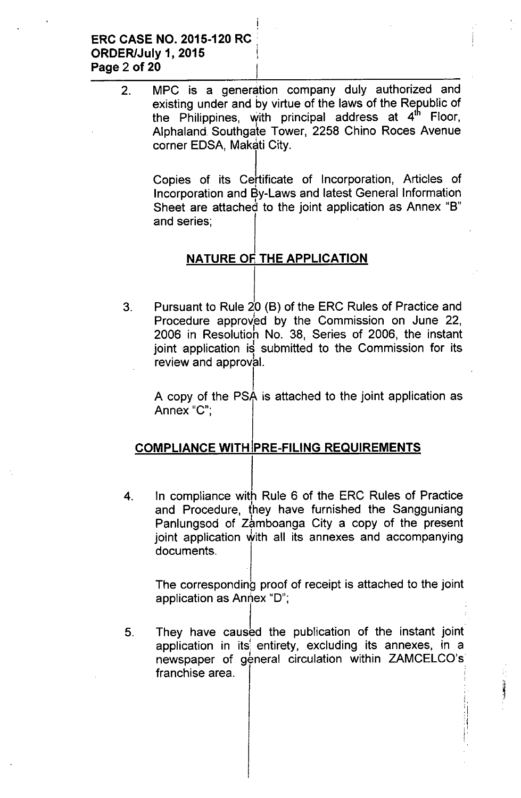2. MPC is a generation company duly authorized and existing under and by virtue of the laws of the Republic of the Philippines, with principal address at 4<sup>th</sup> Floor, Alphaland Southgate Tower, 2258 Chino Roces Avenue corner EDSA, Makati City.

> Copies of its Ce¦tificate of Incorporation, Articles of Incorporation and By-Laws and latest General Information I Sheet are attached to the joint application as Annex "B" and series;

## **NATURE OF THE APPLICATION**

3. Pursuant to Rule 20 (B) of the ERC Rules of Practice and Procedure approved by the Commission on June 22, 2006 in Resolution No. 38, Series of 2006, the instant joint application is submitted to the Commission for its review and approval.

I A copy of the PSA is attached to the joint application as Annex "C":

## **COMPLIANCE WITH PRE-FILING REQUIREMENTS**

4. In compliance with Rule 6 of the ERC Rules of Practice and Procedure, they have furnished the Sangguniang Panlungsod of Zamboanga City a copy of the present joint application with all its annexes and accompanying documents.

The corresponding proof of receipt is attached to the joint application as Annex "D";

5. They have caused the publication of the instant joint application in its entirety, excluding its annexes, in a newspaper of general circulation within ZAMCELCO's franchise area.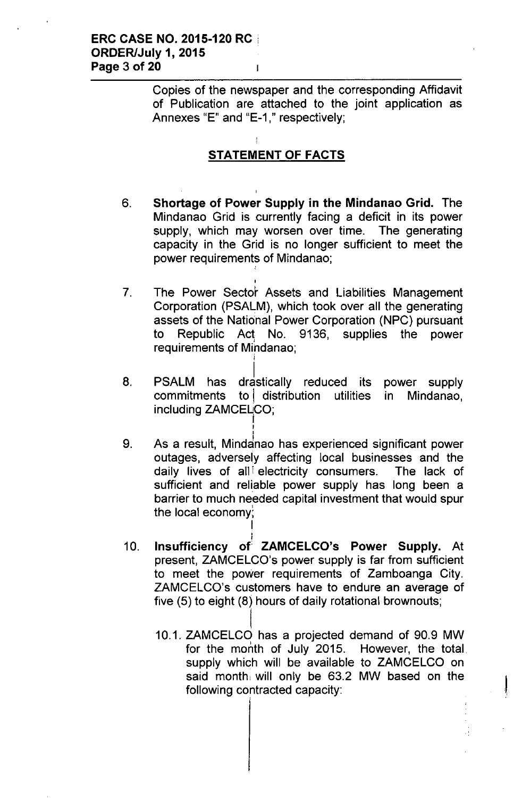Copies of the newspaper and the corresponding Affidavit of Publication are attached to the joint application as Annexes "E" and "E-1 ," respectively;

# STATEMENT OF FACTS

,

I

I ,<br>,

I ;<br>,

- 6. Shortage of Power Supply in the Mindanao Grid. The Mindanao Grid is currently facing a deficit in its power supply, which may worsen over time. The generating capacity in the Grid is no longer sufficient to meet the power requirements of Mindanao;
- 7. The Power Sector Assets and Liabilities Management Corporation (PSALM), which took over all the generating assets of the National Power Corporation (NPC) pursuant to Republic Act No. 9136, supplies the power requirements of Mihdanao;
- 8. PSALM has drastically reduced its power supply commitments to distribution utilities in Mindanao, including ZAMCELCO; I
- 9. As a result, Mindanao has experienced significant power outages, adversely affecting local businesses and the daily lives of all electricity consumers. The lack of sufficient and reliable power supply has long been a barrier to much needed capital investment that would spur the local economy;
- I 10. Insufficiency of ZAMCELCO's Power Supply. At present, ZAMCELCO's power supply is far from sufficient to meet the power requirements of Zamboanga City. ZAMCELCO's customers have to endure an average of five (5) to eight (8) hours of daily rotational brownouts;
	- $\mathbf{I}$ 10.1. ZAMCELCO , has a projected demand of 90.9 MW for the month of July 2015. However, the total supply which will be available to ZAMCELCO on said month, will only be 63.2 MW based on the following contracted capacity: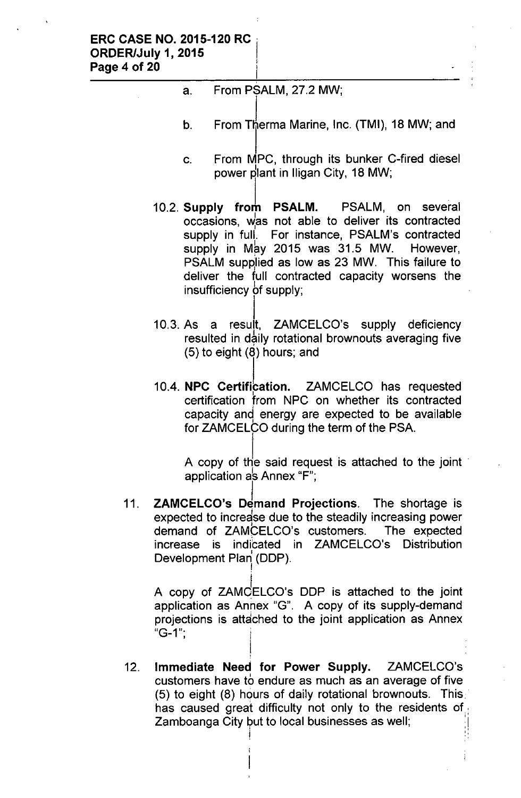a. From PSALM, 27.2 MW;

|<br>!

- b. From Therma Marine, Inc. (TMI), 18 MW; and
- c. From MPC, through its bunker C-fired diesel power plant in Iligan City, 18 MW;
- 10.2. Supply from PSALM. PSALM, on several occasions, was not able to deliver its contracted supply in full. For instance, PSALM's contracted supply in May 2015 was 31.5 MW. However, PSALM supplied as low as 23 MW. This failure to deliver the full contracted capacity worsens the insufficiency 6f supply;
- l. 10.3. As a result, ZAMCELCO's supply deficiency resulted in daily rotational brownouts averaging five (5) to eight (8) hours; and
- 10.4. NPC Certification. ZAMCELCO has requested certification from NPC on whether its contracted capacity and energy are expected to be available for ZAMCELCO during the term of the PSA.

A copy of the said request is attached to the joint application as Annex " $F$ ";

11. ZAMCELCO's Demand Projections. The shortage is expected to increase due to the steadily increasing power demand of ZAMCELCO's customers. The expected increase is indicated in ZAMCELCO's Distribution Development Plan (DDP).

!

A copy of ZAMCELCO's DDP is attached to the joint application as Annex "G". A copy of its supply-demand projections is attached to the joint application as Annex  $"G-1"$ 

12. Immediate Need for Power Supply. ZAMCELCO's I customers have to endure as much as an average of five (5) to eight (8) hours of daily rotational brownouts. This, has caused great difficulty not only to the residents of Zamboanga City but to local businesses as well;

j en de la provincia de la provincia de la provincia de la provincia de la provincia de la provincia de la pro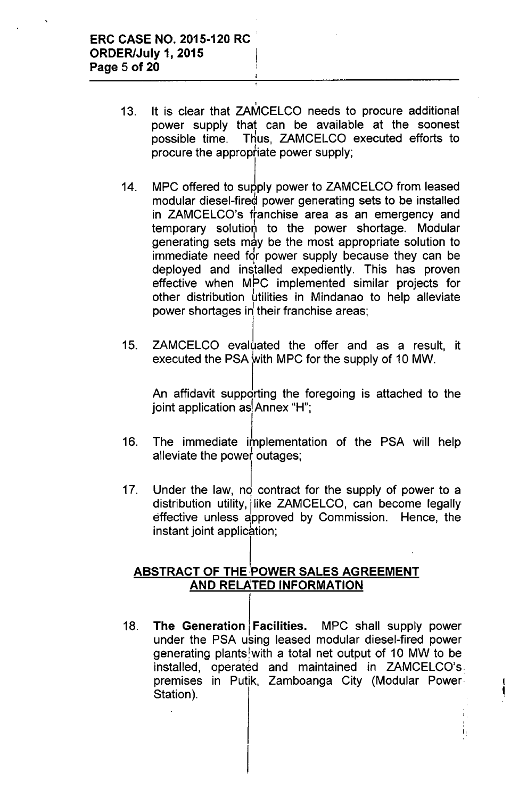- 13. , It is clear that ZAMCELCO needs to procure additional power supply that can be available at the soonest possible time. Thus, ZAMCELCO executed efforts to procure the appropfiate power supply;
- 14. MPC offered to supply power to ZAMCELCO from leased modular diesel-fired power generating sets to be installed in ZAMCELCO's ftanchise area as an emergency and temporary solution to the power shortage. Modular generating sets may be the most appropriate solution to immediate need for power supply because they can be deployed and installed expediently. This has proven effective when MPC implemented similar projects for other distribution Ltilities in Mindanao to help alleviate power shortages in their franchise areas;
- 15. ZAMCELCO evaluated the offer and as a result, it executed the PSA with MPC for the supply of 10 MW.

An affidavit supporting the foregoing is attached to the joint application as  $Annex$  "H";

- 16. The immediate implementation of the PSA will help alleviate the power outages;
- 17. Under the law,  $\log$  contract for the supply of power to a distribution utility, like ZAMCELCO, can become legally effective unless approved by Commission. Hence, the instant joint application;

## ABSTRACT OF THE POWER SALES AGREEMENT AND RELATED INFORMATION

18. The Generation Facilities. MPC shall supply power under the PSA using leased modular diesel-fired power generating plants!with a total net output of 10 MW to be installed, operated and maintained in ZAMCELCO's premises in Putik, Zamboanga City (Modular Power Station).

 $\frac{1}{1}$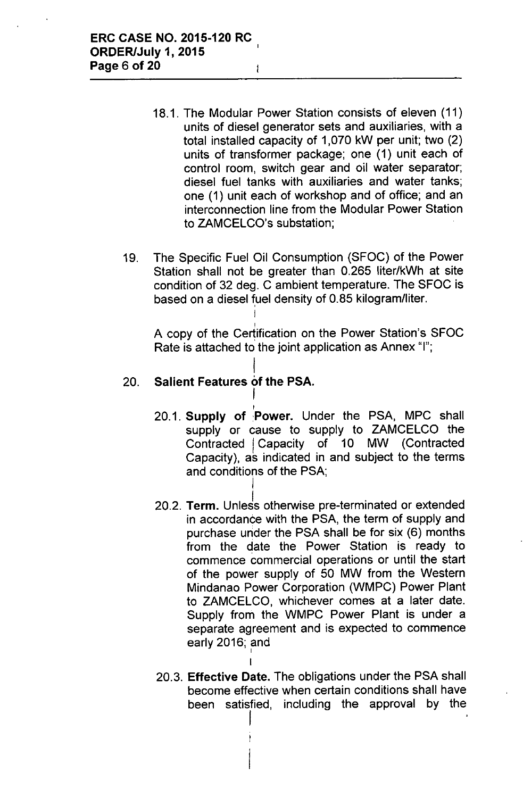- 18.1. The Modular Power Station consists of eleven (11) units of diesel generator sets and auxiliaries, with a total installed capacity of 1,070 kW per unit; two (2) units of transformer package; one (1) unit each of control room, switch gear and oil water separator; diesel fuel tanks with auxiliaries and water tanks; one (1) unit each of workshop and of office; and an interconnection line from the Modular Power Station to ZAMCELCO's substation;
- 19. The Specific Fuel Oil Consumption (SFOC) of the Power Station shall not be greater than 0.265 liter/kWh at site condition of 32 deg. C ambient temperature. The SFOC is based on a diesel fuel density of 0.85 kilogram/liter.

I ,

I

I I

I

A copy of the Certification on the Power Station's SFOC Rate is attached to the joint application as Annex "I";

#### I 20. **Salient Features of the PSA.**  $\tilde{I}$

- I 20.1. **Supply of** :Power. Under the PSA, MPC shall supply or cause to supply to ZAMCELCO the Contracted | Capacity of 10 MW (Contracted Capacity), as indicated in and subject to the terms and conditions of the PSA;
- 20.2. **Term.** Unless otherwise pre-terminated or extended in accordance with the PSA, the term of supply and purchase under the PSA shall be for six (6) months from the date the Power Station is ready to commence commercial operations or until the start of the power supply of 50 MW from the Western Mindanao Power Corporation (WMPC) Power Plant to ZAMCELCO, whichever comes at a later date. Supply from the WMPC Power Plant is under a separate agreement and is expected to commence early 2016; and
- 20.3. **Effective Date.** The obligations under the PSA shall become effective when certain conditions shall have been satisfied, including the approval by the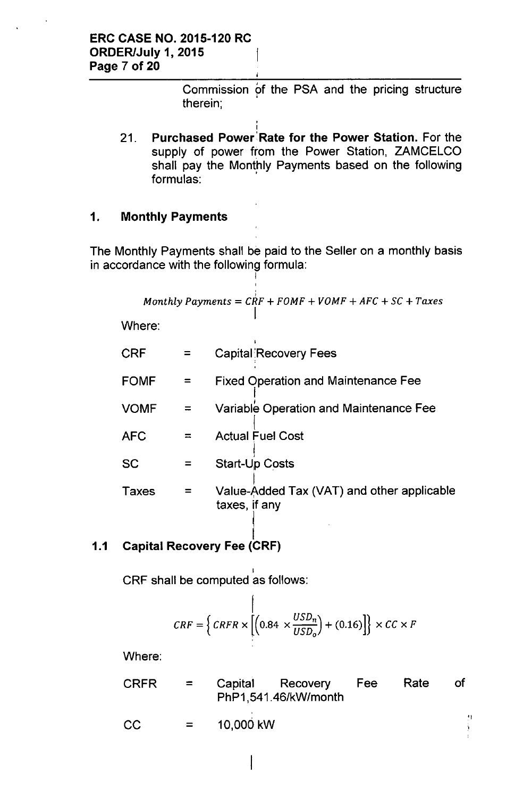Commission of the PSA and the pricing structure therein; ,

1 21. **Purchased Power' Rate for the Power Station.** For the supply of power from the Power Station, ZAMCELCO shall pay the Monthly Payments based on the following formulas:

,

## **1. Monthly Payments**

The Monthly Payments shall be paid to the Seller on a monthly basis in accordance with the following formula:

I

I

$$
Monthly Payments = CRF1 + FOMF + VOMF + AFC + SC + Taxes
$$

Where:

| CRF         |   | <b>Capital Recovery Fees</b>                                |
|-------------|---|-------------------------------------------------------------|
| <b>FOMF</b> |   | <b>Fixed Operation and Maintenance Fee</b>                  |
| <b>VOMF</b> |   | Variable Operation and Maintenance Fee                      |
| <b>AFC</b>  | ᆕ | <b>Actual Fuel Cost</b>                                     |
| SC          |   | <b>Start-Up Costs</b>                                       |
| Taxes       |   | Value-Added Tax (VAT) and other applicable<br>taxes, if any |

## **1.1 Capital Recovery Fee (CRF)**

 $\mathsf{CRF}$  shall be computed as follows

$$
CRF = \left\{ CRFR \times \left[ \left( 0.84 \times \frac{USD_n}{USD_o} \right) + (0.16) \right] \right\} \times CC \times F
$$

Where:

| <b>CRFR</b> | $\mathbf{r}$ | Capital Recovery Fee<br>PhP1,541.46/kW/month | Rate | of |
|-------------|--------------|----------------------------------------------|------|----|
| CC          |              | $= 10,000$ kW                                |      |    |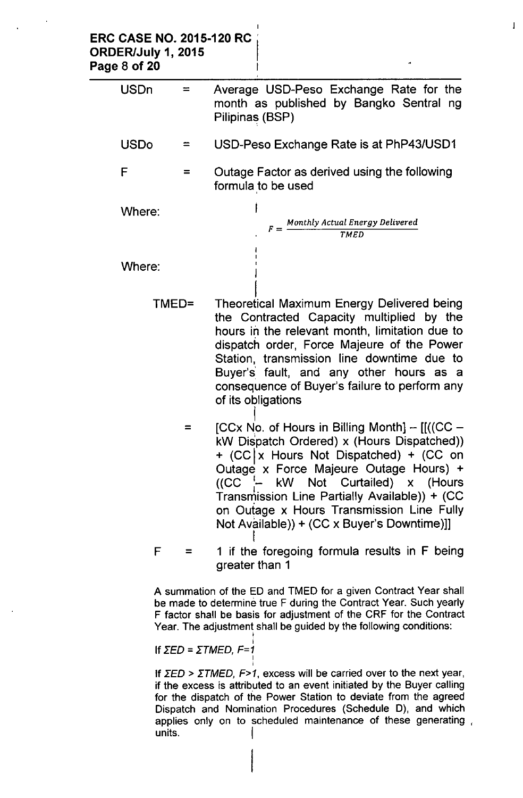| <b>ERC CASE NO. 2015-120 RC</b><br>ORDER/July 1, 2015<br>Page 8 of 20 |                      |                                                                                                                                                                                                                                                                                                                                                                                |
|-----------------------------------------------------------------------|----------------------|--------------------------------------------------------------------------------------------------------------------------------------------------------------------------------------------------------------------------------------------------------------------------------------------------------------------------------------------------------------------------------|
| <b>USDn</b>                                                           | $\equiv$             | Average USD-Peso Exchange Rate for the<br>month as published by Bangko Sentral ng<br>Pilipinas (BSP)                                                                                                                                                                                                                                                                           |
| <b>USDo</b>                                                           | =                    | USD-Peso Exchange Rate is at PhP43/USD1                                                                                                                                                                                                                                                                                                                                        |
| F                                                                     | $=$                  | Outage Factor as derived using the following<br>formula to be used                                                                                                                                                                                                                                                                                                             |
| Where:                                                                |                      | $F =$ Monthly Actual Energy Delivered<br>TMED                                                                                                                                                                                                                                                                                                                                  |
| Where:                                                                |                      |                                                                                                                                                                                                                                                                                                                                                                                |
|                                                                       | TMED=                | <b>Theoretical Maximum Energy Delivered being</b><br>the Contracted Capacity multiplied by the<br>hours in the relevant month, limitation due to<br>dispatch order, Force Majeure of the Power<br>Station, transmission line downtime due to<br>Buyer's fault, and any other hours as a<br>consequence of Buyer's failure to perform any<br>of its obligations                 |
|                                                                       | $=$                  | $[CCx$ No. of Hours in Billing Month $] - [[((CC -$<br>kW Dispatch Ordered) x (Hours Dispatched))<br>+ (CC   x Hours Not Dispatched) + (CC on<br>Outage x Force Majeure Outage Hours) +<br>$((CC \t - kW Not Curtailed) x (House$<br>Transmission Line Partially Available)) + (CC<br>on Outage x Hours Transmission Line Fully<br>Not Available)) + (CC x Buyer's Downtime)]] |
|                                                                       | F.<br>$\equiv 1.000$ | 1 if the foregoing formula results in F being<br>greater than 1                                                                                                                                                                                                                                                                                                                |
|                                                                       |                      | A summation of the ED and TMED for a given Contract Year shall<br>be made to determine true F during the Contract Year. Such yearly<br>F factor shall be basis for adjustment of the CRF for the Contract<br>Year. The adjustment shall be guided by the following conditions:                                                                                                 |

 $\mathbf{l}$ 

If *rED* = *rTMED, F=1* I

;

If  $\Sigma ED > \Sigma TMED$ ,  $F>1$ , excess will be carried over to the next year, if the excess is attributed to an event initiated by the Buyer calling for the dispatch of the Power Station to deviate from the agreed Dispatch and Nomination Procedures (Schedule D), and which applies only on to scheduled maintenance of these generating , units.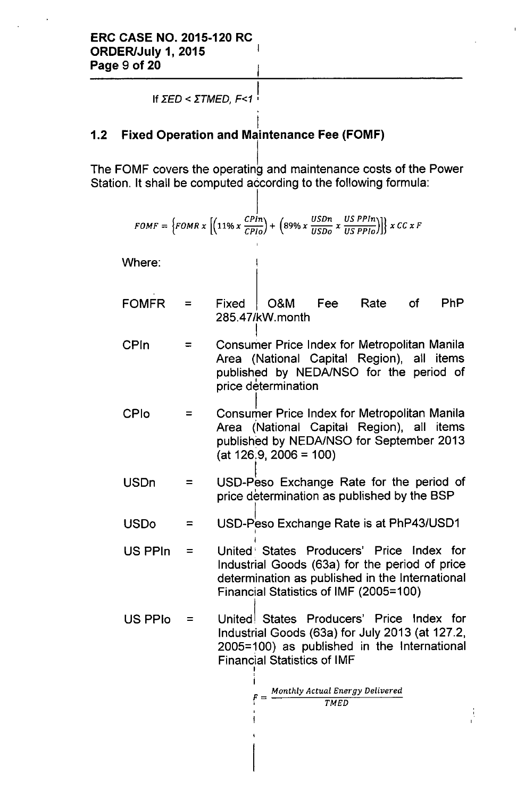If  $\Sigma$ *ED* <  $\Sigma$ *TMED, F<1*  $\vdots$ 

#### l. 1.2 Fixed Operation and Maintenance Fee (FOMF)

The FOMF covers the operating and maintenance costs of the Power Station. It shall be computed according to the following formula:

$$
FOMF = \{FOMR \times \left[ \left( 11\% \times \frac{CPin}{CPlo} \right) + \left( 89\% \times \frac{USDn}{USDo} \times \frac{US\ PPln}{US\ PPlo} \right) \right] \} \times CC \times F
$$

Where:

- FOMFR = Fixed O&M Fee Rate of PhP 285.47/kWmonth
- CPln = I Consumer Price Index for Metropolitan Manila Area (National Capital Region), all items published by NEDA/NSO for the period of price determination
- CPlo = Consumer Price Index for Metropolitan Manila Area (National Capital Region), all items published by NEDA/NSO for September 2013  $(at 126.9, 2006 = 100)$
- USDn = USD-Peso Exchange Rate for the period of price determination as published by the SSP
- $USDo =$ USD-Peso Exchange Rate is at PhP43/USD1 I
- $US$  PPIn  $=$ I United' States Producers' Price Index for Industrial Goods (63a) for the period of price determination as published in the International Financial Statistics of IMF (2005=100)
- $US$  PPIo  $=$ Unitedl States Producers' Price Index for Industrial Goods (63a) for July 2013 (at 127.2, 2005=100) as published in the International FinanCial Statistics of IMF ''<br>|

.<br>I

$$
F = \frac{Monthly \text{ Actual Energy Delivered}}{TMED}
$$

ŧ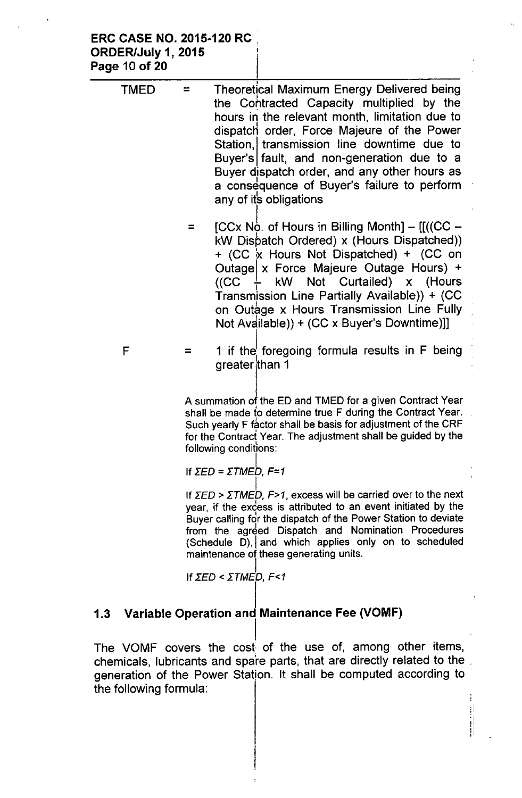### ERC CASE NO. 2015-120 RC ORDER/July 1, 2015 Page 10 of 20

| TMED | Theoretical Maximum Energy Delivered being<br>the Contracted Capacity multiplied by the<br>hours in the relevant month, limitation due to<br>dispatch order, Force Majeure of the Power<br>Station, transmission line downtime due to<br>Buyer's fault, and non-generation due to a<br>Buyer dispatch order, and any other hours as<br>a consequence of Buyer's failure to perform<br>any of its obligations |
|------|--------------------------------------------------------------------------------------------------------------------------------------------------------------------------------------------------------------------------------------------------------------------------------------------------------------------------------------------------------------------------------------------------------------|
|      | [CCx No. of Hours in Billing Month] $-$ [[((CC $-$<br>kW Dispatch Ordered) x (Hours Dispatched))<br>+ (CC x Hours Not Dispatched) + (CC on<br>Outage x Force Majeure Outage Hours) +<br>$((CC \tfrac{1}{2}$ kW Not Curtailed) x (Hours<br>Transmission Line Partially Available)) + (CC<br>on Outage x Hours Transmission Line Fully<br>Not Available)) + (CC x Buyer's Downtime)]]                          |
| F    | 1 if the foregoing formula results in F being<br>greater than 1                                                                                                                                                                                                                                                                                                                                              |

A summation of the ED and TMED for a given Contract Year shall be made to determine true F during the Contract Year. Such yearly F factor shall be basis for adjustment of the CRF for the Contract Year. The adjustment shall be guided by the following conditions:

If 
$$
\Sigma
$$
ED =  $\Sigma$ TMEP, F=1

I If *ΣED* > *ΣTMED, F*>1, excess will be carried over to the next year, if the excess is attributed to an event initiated by the Buyer calling for the dispatch of the Power Station to deviate from the agreed Dispatch and Nomination Procedures (Schedule  $\overline{D}$ ), and which applies only on to scheduled maintenance of these generating units.

> ł il.<br>H

If 
$$
\Sigma
$$
ED  $\Sigma$  TIMED, F<1

#### I 1.3 Variable Operation and Maintenance Fee (VOMF)

I The VOMF covers the cost of the use of, among other items, chemicals, lubricants and spare parts, that are directly related to the generation of the Power Station. It shall be computed according to the following formula: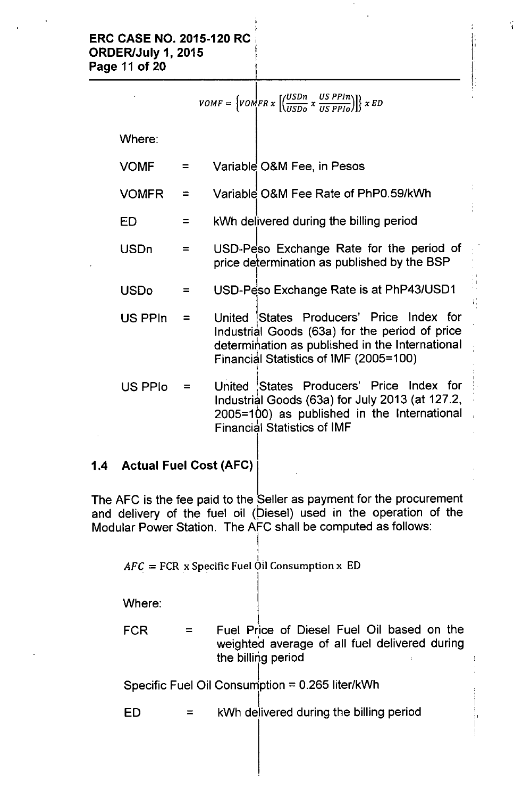$$
VOMF = \left\{ VOMF R x \left[ \left( \frac{USDn}{USDo} x \frac{US P P In}{US P P Io} \right) \right] \right\} x ED
$$

Ý.

Where:

- VOMF = Variable O&M Fee, in Pesos
- $VOMFR =$ Variable O&M Fee Rate of PhP0.59/kWh
- $ED =$ I kWh delivered during the billing period
- USDn = USD-Peso Exchange Rate for the period of price determination as published by the SSP
- $\mathsf{USDo}$  = USD-Peso Exchange Rate is at PhP43/USD1
- $US$  PPIn = United States Producers' Price Index for Industrial Goods (63a) for the period of price determination as published in the International Financial Statistics of IMF (2005=100 I
- US PPlo = United !States Producers' Price Index for ' Industrial Goods (63a) for July 2013 (at 127.2, 2005=100) as published in the International Financial Statistics of IMF

## 1.4 Actual Fuel Cost (AFC)

The AFC is the fee paid to the Seller as payment for the procurement and delivery of the fuel oil (Diesel) used in the operation of the Modular Power Station. The AFC shall be computed as follows:

 $\mathit{AFC} = \mathit{FCR} \times \mathit{Specific\,}$  Fuel  $\bigcirc$  il Consumption x  $\mathit{ED}$ 

I I

Where:

I FCR = Fuel Price of Diesel Fuel Oil based on the weighted average of all fuel delivered during the billing period

Specific Fuel Oil Consumption =  $0.265$  liter/kWh

l. ED = kWh delivered during the billing period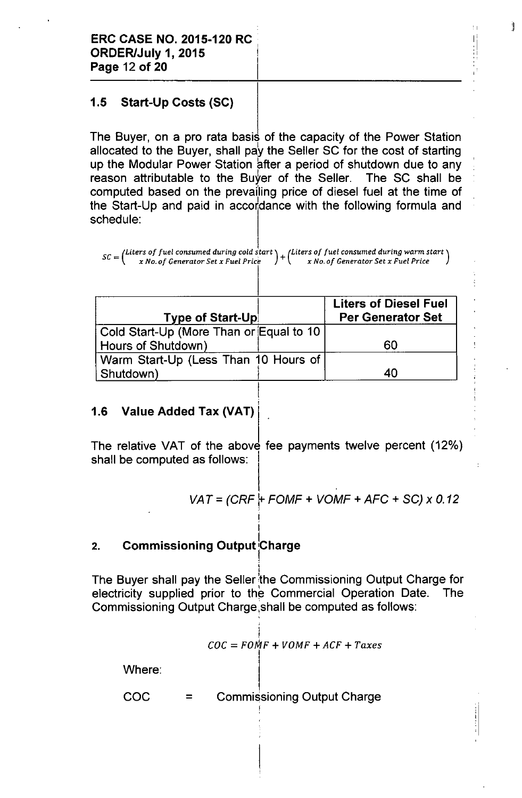## 1.5 Start-Up Costs (SC)

The Buyer, on a pro rata basis of the capacity of the Power Station allocated to the Buyer, shall pay the Seller SC for the cost of starting up the Modular Power Station after a period of shutdown due to any reason attributable to the Buyer of the Seller. The SC shall be computed based on the prevafling price of diesel fuel at the time of the Start-Up and paid in accordance with the following formula and schedule:

 $\mathsf{I}^{\mathsf{l}}$ :,

 $\pm$ 

:11

 $s\epsilon$  - (Liters of fuel consumed during cold start  $\epsilon$  /Liters of fuel consumed during warm start *x No. of Generator Set x Fuel Pnce x No. of Generator Set x Fuel Pnce*

| <b>Type of Start-Up!</b>                 | <b>Liters of Diesel Fuel</b><br><b>Per Generator Set</b> |
|------------------------------------------|----------------------------------------------------------|
| Cold Start-Up (More Than or Equal to 10) |                                                          |
| Hours of Shutdown)                       | 60                                                       |
| Warm Start-Up (Less Than 10 Hours of     |                                                          |
| Shutdown)                                | 40                                                       |

I

!

## 1.6 Value Added Tax (VAT)

The relative VAT of the above fee payments twelve percent (12%) shall be computed as follows:

$$
VAT = (CRF + FOMF + VOMF + AFC + SC) \times 0.12
$$

## 2. Commissioning Output Charge

I The Buyer shall pay the Seller the Commissioning Output Charge for electricity supplied prior to the Commercial Operation Date. The Commissioning Output Charge ,shall be computed as follows:

$$
COC = FOMF + VOMF + ACF + Taxes
$$

Where:

COC = Commissioning Output Charge I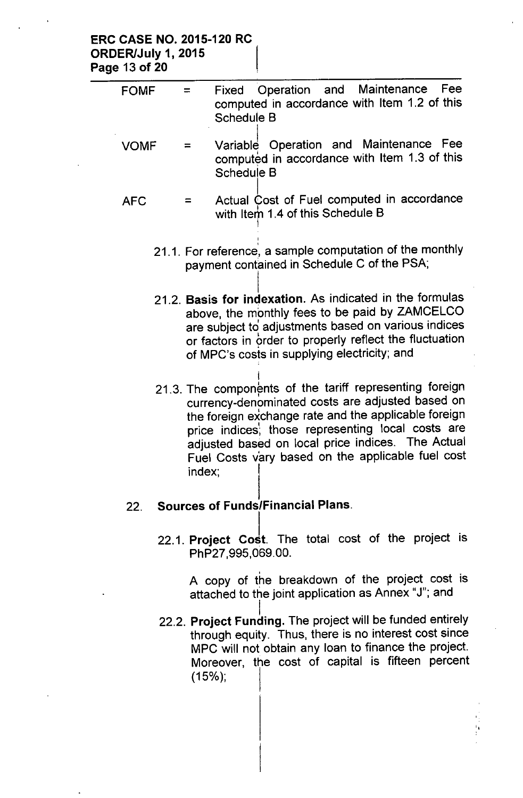### ERC CASE NO. 2015-120 RC ORDER/July 1, 2015 Page 13 of 20

| <b>FOMF</b> | <b>Maintenance</b><br>Fee<br>Operation<br>and<br>Fixed<br>$=$<br>computed in accordance with Item 1.2 of this<br><b>Schedule B</b>                                                                                                                                                                                                           |
|-------------|----------------------------------------------------------------------------------------------------------------------------------------------------------------------------------------------------------------------------------------------------------------------------------------------------------------------------------------------|
| <b>VOMF</b> | Variable Operation and Maintenance Fee<br>$=$<br>computed in accordance with Item 1.3 of this<br><b>Schedule B</b>                                                                                                                                                                                                                           |
| <b>AFC</b>  | Actual Cost of Fuel computed in accordance<br>$=$<br>with Item 1.4 of this Schedule B                                                                                                                                                                                                                                                        |
|             | 21.1. For reference, a sample computation of the monthly<br>payment contained in Schedule C of the PSA;                                                                                                                                                                                                                                      |
|             | 21.2. Basis for indexation. As indicated in the formulas<br>above, the monthly fees to be paid by ZAMCELCO<br>are subject to adjustments based on various indices<br>or factors in order to properly reflect the fluctuation<br>of MPC's costs in supplying electricity; and                                                                 |
|             | 21.3. The components of the tariff representing foreign<br>currency-denominated costs are adjusted based on<br>the foreign exchange rate and the applicable foreign<br>price indices, those representing local costs are<br>adjusted based on local price indices. The Actual<br>Fuel Costs vary based on the applicable fuel cost<br>index: |
| 22.         | <b>Sources of Funds/Financial Plans.</b>                                                                                                                                                                                                                                                                                                     |

22.1. Project Cost. The total cost of the project is PhP27,995,069.00.

> , A copy of the breakdown of the project cost is attached to the joint application as Annex "J"; and

l. 22.2. **Project Funding.** The project will be funded entirely through equity. Thus, there is no interest cost since MPC will not obtain any loan to finance the project. Moreover, the cost of capital is fifteen percent  $(15\%)$ ;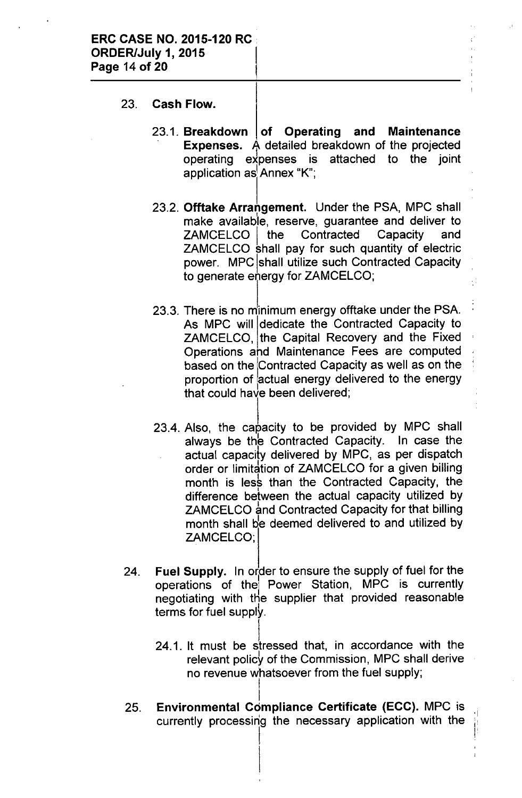- 23. **Cash Flow.**
	- 23.1. **Breakdown of Operating and Maintenance Expenses.** A detailed breakdown of the projected operating expenses is attached to the joint application as Annex "K";
	- 23.2. **Offtake Arrangement.** Under the PSA, MPC shall I make available, reserve, guarantee and deliver to ZAMCELCO I the Contracted Capacity and ZAMCELCO shall pay for such quantity of electric power. MPC Ishall utilize such Contracted Capacity to generate energy for ZAMCELCO;
	- 23.3. There is no minimum energy offtake under the PSA. As MPC will dedicate the Contracted Capacity to ZAMCELCO, the Capital Recovery and the Fixed Operations and Maintenance Fees are computed based on the Contracted Capacity as well as on the proportion of lactual energy delivered to the energy that could have been delivered;
	- 23.4. Also, the capacity to be provided by MPC shall always be the Contracted Capacity. In case the actual capacity delivered by MPC, as per dispatch order or limitation of ZAMCELCO for a given billing month is less than the Contracted Capacity, the I difference between the actual capacity utilized by ZAMCELCO and Contracted Capacity for that billing month shall be deemed delivered to and utilized by ZAMCELCO;
- 24. **Fuel Supply.** In order to ensure the supply of fuel for the operations of the Power Station, MPC is currently negotiating with the supplier that provided reasonable I terms for fuel supply.
	- 24.1. It must be stressed that, in accordance with the relevant policy of the Commission, MPC shall derive no revenue whatsoever from the fuel supply; I

 $\mathbb{R}^+$ ,

25. I **Environmental Compliance Certificate (ECC).** MPC is currently processing the necessary application with the

I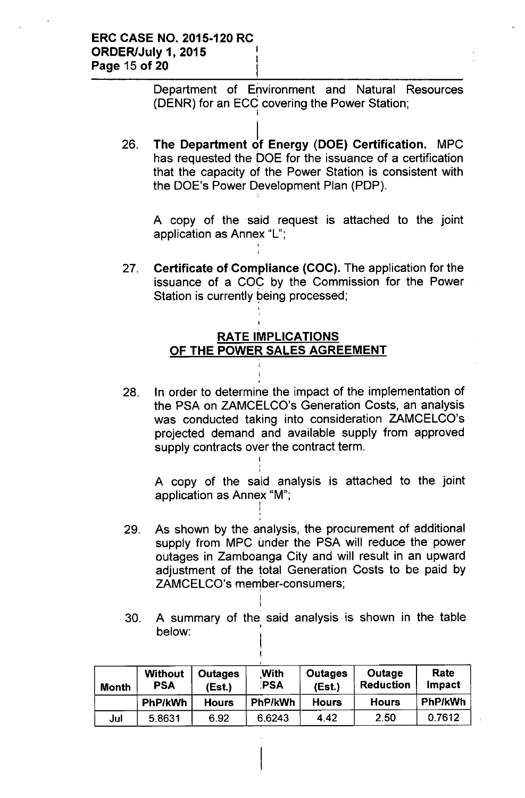Department of Environment and Natural Resources (DENR) for an ECC covering the Power Station; i

26. l, The Department of Energy (DOE) Certification. MPC has requested the DOE for the issuance of a certification that the capacity of the Power Station is consistent with the DOE's Power Development Plan (PDP).

A copy of the said request is attached to the joint application as Annex "L";

27. Certificate of Compliance (COC). The application for the issuance of a COC by the Commission for the Power Station is currently being processed;

## RATE IMPLICATIONS OF THE POWER SALES AGREEMENT

28. In order to determine the impact of the implementation of the PSA on ZAMCELCO's Generation Costs, an analysis was conducted taking into consideration ZAMCELCO's projected demand and available supply from approved supply contracts over the contract term. I

A copy of the said analysis is attached to the joint application as Annex "M";<br>!

29. As shown by the analysis, the procurement of additional supply from MPC under the PSA will reduce the power outages in Zamboanga City and will result in an upward adjustment of the total Generation Costs to be paid by ZAMCELCO's member-consumers;

I ,<br>,

> I I

30. A summary of the said analysis is shown in the table below:

| <b>Month</b> | <b>Without</b><br><b>PSA</b> | <b>Outages</b><br>(Est.) | With<br>PSA | Outages<br>(Est.) | Outage<br><b>Reduction</b> | Rate<br>Impact |
|--------------|------------------------------|--------------------------|-------------|-------------------|----------------------------|----------------|
|              | PhP/kWh                      | <b>Hours</b>             | PhP/kWh     | <b>Hours</b>      | <b>Hours</b>               | PhP/kWh        |
| Jul          | 5.8631                       | 6.92                     | 6.6243      | 4.42              | 2.50                       | 0.7612         |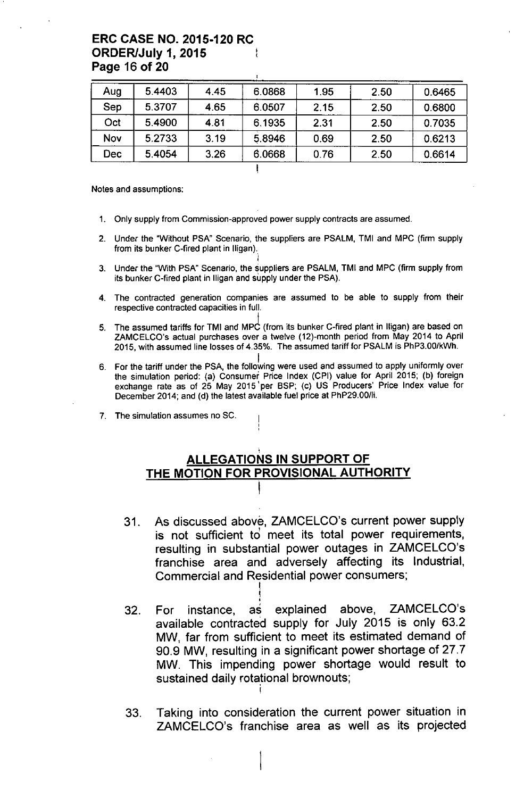### **ERC CASE NO. 2015-120 RC ORDER/July 1, 2015 Page 16 of 20**

| Aug | 5.4403 | 4.45 | 6.0868 | 1.95 | 2.50 | 0.6465 |
|-----|--------|------|--------|------|------|--------|
| Sep | 5.3707 | 4.65 | 6.0507 | 2.15 | 2.50 | 0.6800 |
| Oct | 5.4900 | 4.81 | 6.1935 | 2.31 | 2.50 | 0.7035 |
| Nov | 5.2733 | 3.19 | 5.8946 | 0.69 | 2.50 | 0.6213 |
| Dec | 5.4054 | 3.26 | 6.0668 | 0.76 | 2.50 | 0.6614 |

Notes and assumptions:

- 1. Only supply from Commission-approved power supply contracts are assumed.
- 2. Under the "Without PSA" Scenario, the suppliers are PSALM, TMI and MPC (firm supply from its bunker C-fired plant in lligan).
- i 3. Under the "With PSA" Scenario, the suppliers are PSALM, TMI and MPC (firm supply from its bunker C-fired plant in lIigan and supply under the PSA).
- 4. The contracted generation companies are assumed to be able to supply from their respective contracted capacities in full.
- I 5. The assumed tariffs for TMI and MPC (from its bunker C-fired plant in lIigan) are based on ZAMCELCO's actual purchases over a twelve (12)-month period from May 2014 to April 2015, with assumed line losses of 4.35%. The assumed tariff for PSALM is PhP3.00/kWh.
- I 6. For the tariff under the PSA, the following were used and assumed to apply uniformly over the simulation period: (a) Consumer Price Index (CPI) value for April 2015; (b) foreign exchange rate as of 25 May 2015 'per SSP; (c) US Producers' Price Index value for December 2014; and (d) the latest available fuel price at PhP29.00/1i.
- 7. The simulation assumes no SC.

## **ALLEGATIONS IN SUPPORT OF THE MOTION FOR PROVISIONAL AUTHORITY**

I

- 31. As discussed above, ZAMCELCO's current power supply is not sufficient to meet its total power requirements, resulting in substantial power outages in ZAMCELCO's franchise area and adversely affecting its Industrial, Commercial and Residential power consumers;
- 32. I, For instance, as explained above, ZAMCELCO's available contracted supply for July 2015 is only 63.2 MW, far from sufficient to meet its estimated demand of 90.9 MW, resulting in a significant power shortage of 27.7 MW. This impending power shortage would result to sustained daily rotational brownouts; I
- 33. Taking into consideration the current power situation in ZAMCELCO's franchise area as well as its projected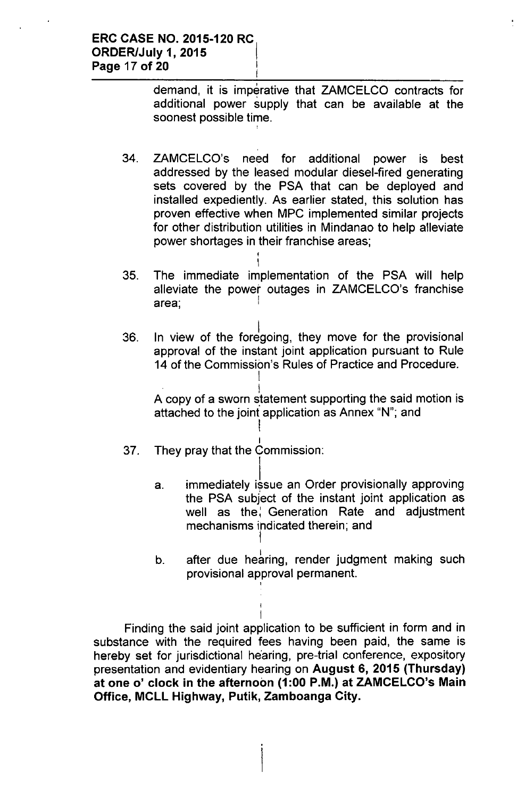demand, it is imperative that ZAMCELCO contracts for additional power supply that can be available at the soonest possible time.

- 34. ZAMCELCO's need for additional power is best addressed by the leased modular diesel-fired generating sets covered by the PSA that can be deployed and installed expediently. As earlier stated, this solution has proven effective when MPC implemented similar projects for other distribution utilities in Mindanao to help alleviate power shortages in their franchise areas; ,
- area; 35. I The immediate implementation of the PSA will help alleviate the power outages in ZAMCELCO's franchise I ¦
- 36. In view of the foregoing, they move for the provisional approval of the instant joint application pursuant to Rule 14 of the Commission's Rules of Practice and Procedure.

I

I

I A copy of a sworn statement supporting the said motion is attached to the joint application as Annex "N"; and

- 37. I They pray that the Commission: I
	- a. immediately issue an Order provisionally approving the PSA subject of the instant joint application as well as the: Generation Rate and adjustment mechanisms indicated therein; and I
	- b. after due hearing, render judgment making such provisional approval permanent. ,

I Finding the said joint application to be sufficient in form and in substance with the required fees having been paid, the same is hereby set for jurisdictional hearing, pre-trial conference, expository presentation and evidentiary hearing on August 6, 2015 (Thursday) at one 0' clock in the afternoon (1:00 P.M.) at ZAMCELCO's Main Office, MCLL Highway, Putik, Zamboanga City.

I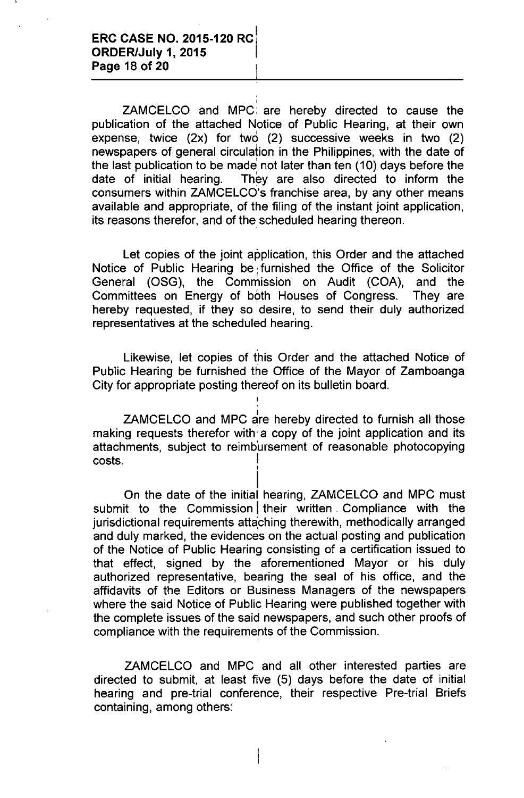ZAMCELCO and MPC, are hereby directed to cause the publication of the attached Notice of Public Hearing, at their own expense, twice  $(2x)$  for two  $(2)$  successive weeks in two  $(2)$ newspapers of general circulation in the Philippines, with the date of the last publication to be made not later than ten (10) days before the date of initial hearing. They are also directed to inform the consumers within ZAMCELCO's franchise area, by any other means available and appropriate, of the filing of the instant joint application, its reasons therefor, and of the scheduled hearing thereon.

Let copies of the joint application, this Order and the attached Notice of Public Hearing be; furnished the Office of the Solicitor General (OSG), the Commission on Audit (COA), and the Committees on Energy of both Houses of Congress. They are hereby requested, if they so desire, to send their duly authorized representatives at the scheduled hearing.

Likewise, let copies of this Order and the attached Notice of Public Hearing be furnished the Office of the Mayor of Zamboanga City for appropriate posting thereof on its bulletin board.

ZAMCELCO and MPC are hereby directed to furnish all those making requests therefor with' a copy of the joint application and its attachments, subject to reimb'ursement of reasonable photocopying costs. I

I On the date of the initial hearing, ZAMCELCO and MPC must submit to the Commission their written. Compliance with the jurisdictional requirements attaching therewith, methodically arranged and duly marked, the evidences on the actual posting and publication of the Notice of Public Hearing consisting of a certification issued to that effect, signed by the aforementioned Mayor or his duly authorized representative, bearing the seal of his office, and the affidavits of the Editors or Business Managers of the newspapers where the said Notice of Public Hearing were published together with the complete issues of the said newspapers, and such other proofs of compliance with the requirements of the Commission. ,

ZAMCELCO and MPC and all other interested parties are directed to submit, at least five (5) days before the date of initial hearing and pre-trial conference, their respective Pre-trial Briefs containing, among others: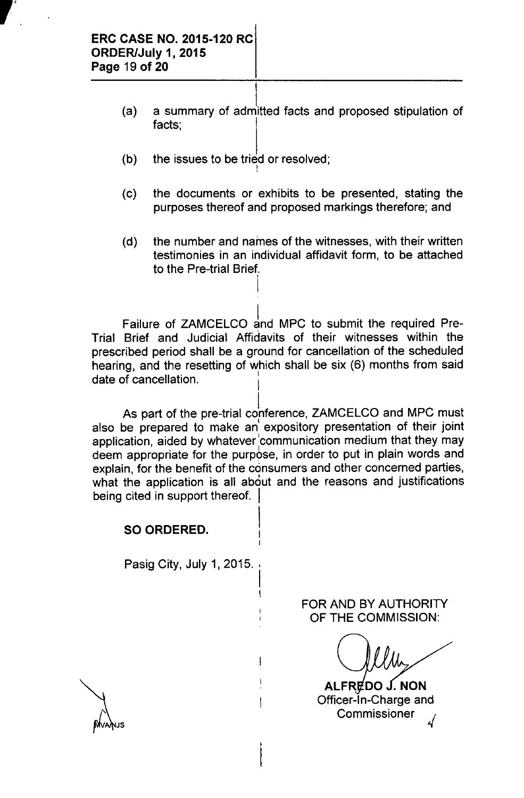"

- (a) l., a summary of admitted facts and proposed stipulation of facts:
- (b) the issues to be tried or resolved
- (c) the documents or exhibits to be presented, stating the purposes thereof and proposed markings therefore; and
- (d) the number and names of the witnesses, with their written testimonies in an individual affidavit form, to be attached to the Pre-trial Brief.

Failure of ZAMCELCO and MPC to submit the required Pre-Trial Brief and Judicial Affidavits of their witnesses within the prescribed period shall be a ground for cancellation of the scheduled hearing, and the resetting of which shall be six (6) months from said date of cancellation.

I

As part of the pre-trial conference, ZAMCELCO and MPC must also be prepared to make an' expository presentation of their joint application, aided by whatever 'communication medium that they may deem appropriate for the purpose, in order to put in plain words and explain, for the benefit of the consumers and other concerned parties, what the application is all about and the reasons and justifications being cited in support thereof.

> I I I

I I

 $\mathbf{I}$ 

## **SO ORDERED.**

Pasig City, July 1, 2015.

FOR AND BY AUTHORITY OF **THE** COMMISSION:

ALFREDO J. NON Officer-In-Charge and Commissioner